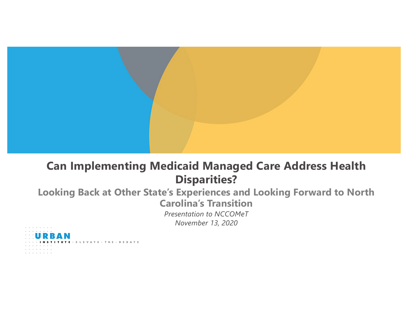

### **Can Implementing Medicaid Managed Care Address Health Disparities?**

### **Looking Back at Other State's Experiences and Looking Forward to North Carolina's Transition** *Presentation to NCCOMeT*

*November 13, 2020*

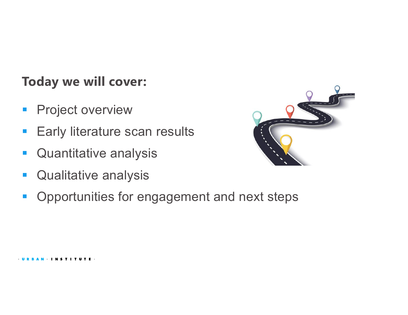## **Today we will cover:**

- **Project overview**
- Early literature scan results
- Quantitative analysis
- Qualitative analysis



■ Opportunities for engagement and next steps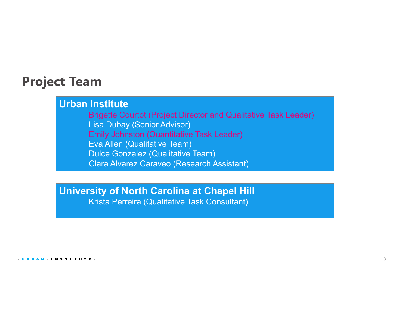### **Project Team**

### **Urban Institute**

Brigette Courtot (Project Director and Qualitative Task Leader) Lisa Dubay (Senior Advisor) Emily Johnston (Quantitative Task Leader) Eva Allen (Qualitative Team) Dulce Gonzalez (Qualitative Team) Clara Alvarez Caraveo (Research Assistant)

## **University of North Carolina at Chapel Hill**

Krista Perreira (Qualitative Task Consultant)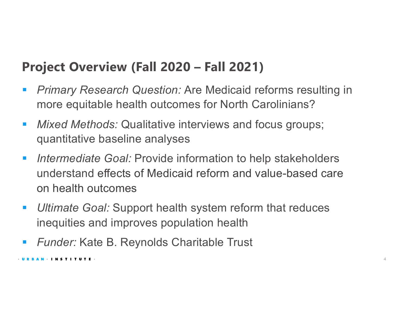## **Project Overview (Fall 2020 – Fall 2021)**

- *Primary Research Question:* Are Medicaid reforms resulting in more equitable health outcomes for North Carolinians?
- § *Mixed Methods:* Qualitative interviews and focus groups; quantitative baseline analyses
- *Intermediate Goal:* Provide information to help stakeholders understand effects of Medicaid reform and value-based care on health outcomes
- *Ultimate Goal:* Support health system reform that reduces inequities and improves population health
- *Funder:* Kate B. Reynolds Charitable Trust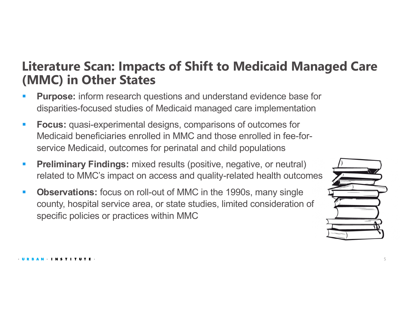### **Literature Scan: Impacts of Shift to Medicaid Managed Care (MMC) in Other States**

- **Purpose:** inform research questions and understand evidence base for disparities-focused studies of Medicaid managed care implementation
- **Focus:** quasi-experimental designs, comparisons of outcomes for Medicaid beneficiaries enrolled in MMC and those enrolled in fee-forservice Medicaid, outcomes for perinatal and child populations
- **Preliminary Findings:** mixed results (positive, negative, or neutral) related to MMC's impact on access and quality-related health outcomes
- **Observations:** focus on roll-out of MMC in the 1990s, many single county, hospital service area, or state studies, limited consideration of specific policies or practices within MMC

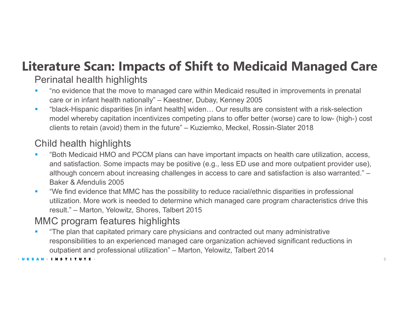# **Literature Scan: Impacts of Shift to Medicaid Managed Care**

### Perinatal health highlights

- "no evidence that the move to managed care within Medicaid resulted in improvements in prenatal care or in infant health nationally" – Kaestner, Dubay, Kenney 2005
- "black-Hispanic disparities [in infant health] widen... Our results are consistent with a risk-selection model whereby capitation incentivizes competing plans to offer better (worse) care to low- (high-) cost clients to retain (avoid) them in the future" – Kuziemko, Meckel, Rossin-Slater 2018

### Child health highlights

- "Both Medicaid HMO and PCCM plans can have important impacts on health care utilization, access, and satisfaction. Some impacts may be positive (e.g., less ED use and more outpatient provider use), although concern about increasing challenges in access to care and satisfaction is also warranted." – Baker & Afendulis 2005
- "We find evidence that MMC has the possibility to reduce racial/ethnic disparities in professional utilization. More work is needed to determine which managed care program characteristics drive this result." – Marton, Yelowitz, Shores, Talbert 2015

### MMC program features highlights

**•** "The plan that capitated primary care physicians and contracted out many administrative responsibilities to an experienced managed care organization achieved significant reductions in outpatient and professional utilization" – Marton, Yelowitz, Talbert 2014

#### · URBAN INSTITUTE ·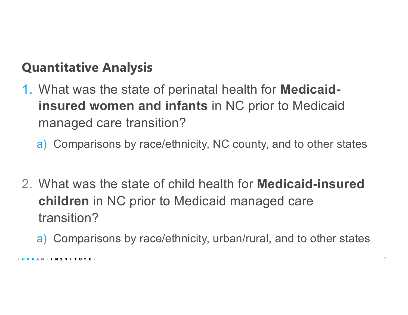## **Quantitative Analysis**

- 1. What was the state of perinatal health for **Medicaidinsured women and infants** in NC prior to Medicaid managed care transition?
	- a) Comparisons by race/ethnicity, NC county, and to other states
- 2. What was the state of child health for **Medicaid-insured children** in NC prior to Medicaid managed care transition?
	- a) Comparisons by race/ethnicity, urban/rural, and to other states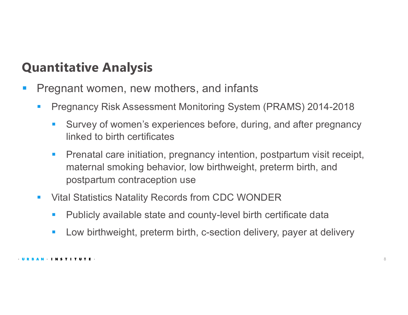## **Quantitative Analysis**

- **Pregnant women, new mothers, and infants** 
	- § Pregnancy Risk Assessment Monitoring System (PRAMS) 2014-2018
		- Survey of women's experiences before, during, and after pregnancy linked to birth certificates
		- Prenatal care initiation, pregnancy intention, postpartum visit receipt, maternal smoking behavior, low birthweight, preterm birth, and postpartum contraception use
	- Vital Statistics Natality Records from CDC WONDER
		- Publicly available state and county-level birth certificate data
		- Low birthweight, preterm birth, c-section delivery, payer at delivery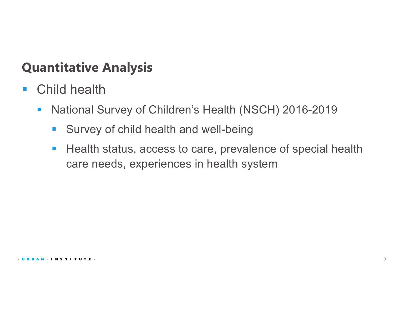### **Quantitative Analysis**

- Child health
	- National Survey of Children's Health (NSCH) 2016-2019
		- Survey of child health and well-being
		- Health status, access to care, prevalence of special health care needs, experiences in health system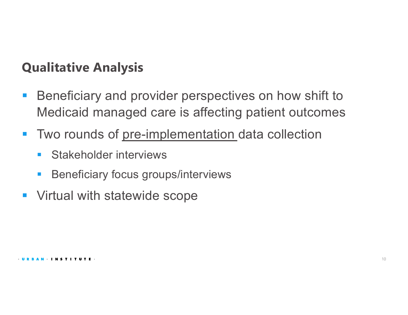## **Qualitative Analysis**

- Beneficiary and provider perspectives on how shift to Medicaid managed care is affecting patient outcomes
- Two rounds of pre-implementation data collection
	- Stakeholder interviews
	- § Beneficiary focus groups/interviews
- Virtual with statewide scope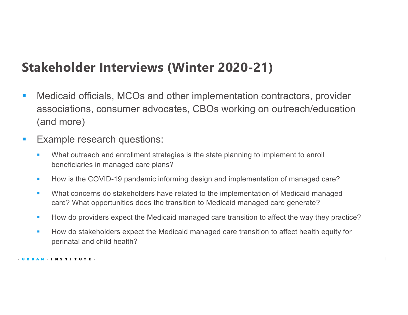## **Stakeholder Interviews (Winter 2020-21)**

- Medicaid officials, MCOs and other implementation contractors, provider associations, consumer advocates, CBOs working on outreach/education (and more)
- Example research questions:
	- What outreach and enrollment strategies is the state planning to implement to enroll beneficiaries in managed care plans?
	- **How is the COVID-19 pandemic informing design and implementation of managed care?**
	- What concerns do stakeholders have related to the implementation of Medicaid managed care? What opportunities does the transition to Medicaid managed care generate?
	- **How do providers expect the Medicaid managed care transition to affect the way they practice?**
	- **How do stakeholders expect the Medicaid managed care transition to affect health equity for** perinatal and child health?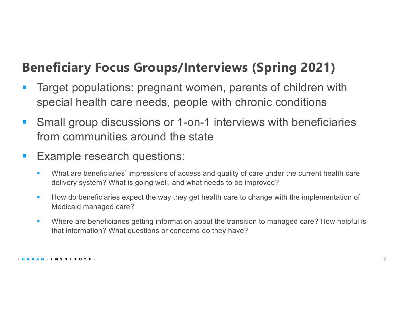## **Beneficiary Focus Groups/Interviews (Spring 2021)**

- **Target populations: pregnant women, parents of children with** special health care needs, people with chronic conditions
- Small group discussions or 1-on-1 interviews with beneficiaries from communities around the state
- Example research questions:
	- What are beneficiaries' impressions of access and quality of care under the current health care delivery system? What is going well, and what needs to be improved?
	- **EXT** How do beneficiaries expect the way they get health care to change with the implementation of Medicaid managed care?
	- Where are beneficiaries getting information about the transition to managed care? How helpful is that information? What questions or concerns do they have?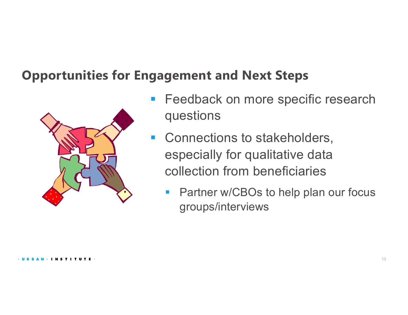## **Opportunities for Engagement and Next Steps**



- Feedback on more specific research questions
- Connections to stakeholders, especially for qualitative data collection from beneficiaries
	- Partner w/CBOs to help plan our focus groups/interviews